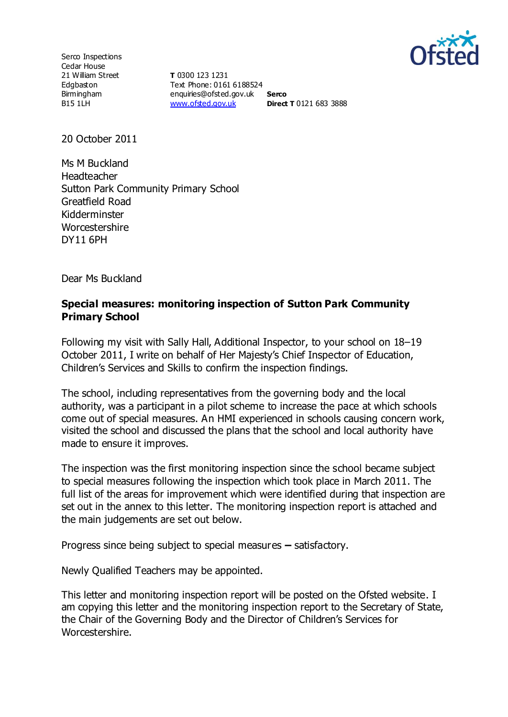

Serco Inspections Cedar House 21 William Street Edgbaston Birmingham B15 1LH

**T** 0300 123 1231 Text Phone: 0161 6188524 enquiries@ofsted.gov.uk **Serco** [www.ofsted.gov.uk](http://www.ofsted.gov.uk/) **Direct T** 0121 683 3888

20 October 2011

Ms M Buckland Headteacher Sutton Park Community Primary School Greatfield Road Kidderminster **Worcestershire** DY11 6PH

Dear Ms Buckland

#### **Special measures: monitoring inspection of Sutton Park Community Primary School**

Following my visit with Sally Hall, Additional Inspector, to your school on 18–19 October 2011, I write on behalf of Her Majesty's Chief Inspector of Education, Children's Services and Skills to confirm the inspection findings.

The school, including representatives from the governing body and the local authority, was a participant in a pilot scheme to increase the pace at which schools come out of special measures. An HMI experienced in schools causing concern work, visited the school and discussed the plans that the school and local authority have made to ensure it improves.

The inspection was the first monitoring inspection since the school became subject to special measures following the inspection which took place in March 2011. The full list of the areas for improvement which were identified during that inspection are set out in the annex to this letter. The monitoring inspection report is attached and the main judgements are set out below.

Progress since being subject to special measures **–** satisfactory.

Newly Qualified Teachers may be appointed.

This letter and monitoring inspection report will be posted on the Ofsted website. I am copying this letter and the monitoring inspection report to the Secretary of State, the Chair of the Governing Body and the Director of Children's Services for Worcestershire.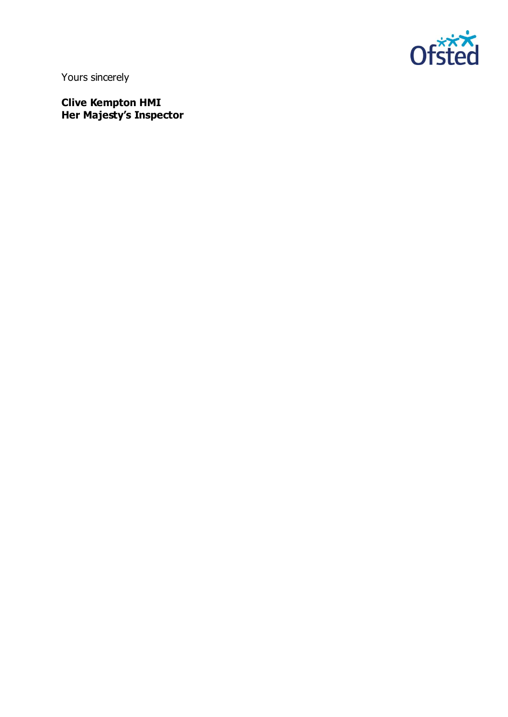

Yours sincerely

**Clive Kempton HMI Her Majesty's Inspector**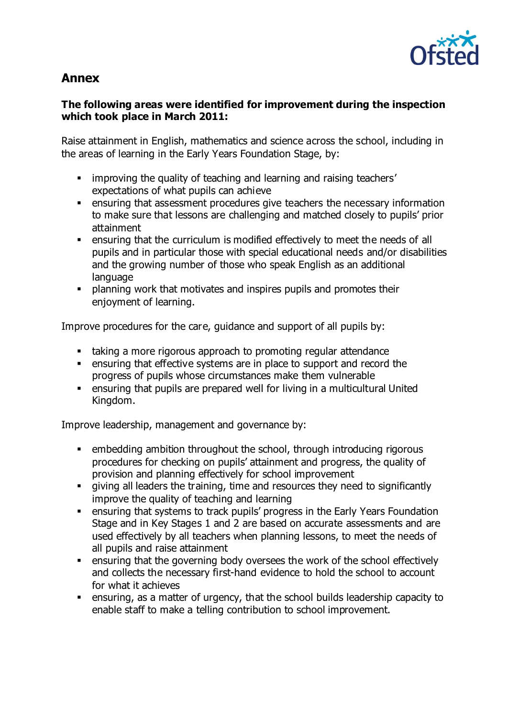

# **Annex**

#### **The following areas were identified for improvement during the inspection which took place in March 2011:**

Raise attainment in English, mathematics and science across the school, including in the areas of learning in the Early Years Foundation Stage, by:

- **EXEDER** improving the quality of teaching and learning and raising teachers' expectations of what pupils can achieve
- ensuring that assessment procedures give teachers the necessary information to make sure that lessons are challenging and matched closely to pupils' prior attainment
- ensuring that the curriculum is modified effectively to meet the needs of all pupils and in particular those with special educational needs and/or disabilities and the growing number of those who speak English as an additional language
- planning work that motivates and inspires pupils and promotes their enjoyment of learning.

Improve procedures for the care, guidance and support of all pupils by:

- taking a more rigorous approach to promoting regular attendance
- ensuring that effective systems are in place to support and record the progress of pupils whose circumstances make them vulnerable
- ensuring that pupils are prepared well for living in a multicultural United Kingdom.

Improve leadership, management and governance by:

- embedding ambition throughout the school, through introducing rigorous procedures for checking on pupils' attainment and progress, the quality of provision and planning effectively for school improvement
- giving all leaders the training, time and resources they need to significantly improve the quality of teaching and learning
- ensuring that systems to track pupils' progress in the Early Years Foundation Stage and in Key Stages 1 and 2 are based on accurate assessments and are used effectively by all teachers when planning lessons, to meet the needs of all pupils and raise attainment
- ensuring that the governing body oversees the work of the school effectively and collects the necessary first-hand evidence to hold the school to account for what it achieves
- ensuring, as a matter of urgency, that the school builds leadership capacity to enable staff to make a telling contribution to school improvement.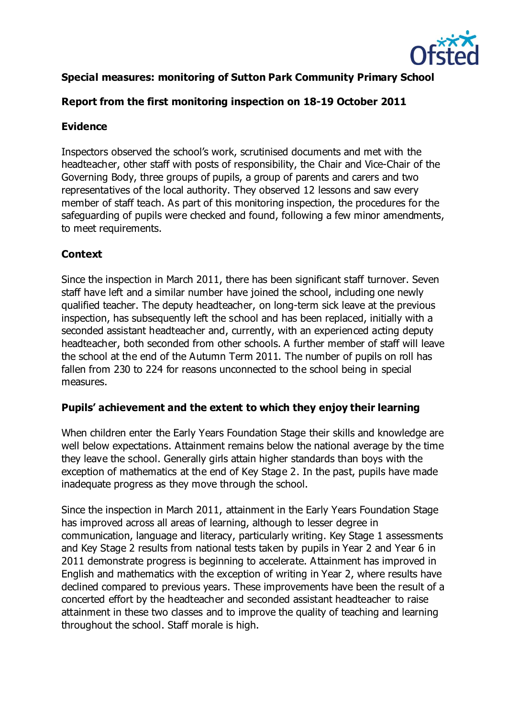

## **Special measures: monitoring of Sutton Park Community Primary School**

## **Report from the first monitoring inspection on 18-19 October 2011**

## **Evidence**

Inspectors observed the school's work, scrutinised documents and met with the headteacher, other staff with posts of responsibility, the Chair and Vice-Chair of the Governing Body, three groups of pupils, a group of parents and carers and two representatives of the local authority. They observed 12 lessons and saw every member of staff teach. As part of this monitoring inspection, the procedures for the safeguarding of pupils were checked and found, following a few minor amendments, to meet requirements.

# **Context**

Since the inspection in March 2011, there has been significant staff turnover. Seven staff have left and a similar number have joined the school, including one newly qualified teacher. The deputy headteacher, on long-term sick leave at the previous inspection, has subsequently left the school and has been replaced, initially with a seconded assistant headteacher and, currently, with an experienced acting deputy headteacher, both seconded from other schools. A further member of staff will leave the school at the end of the Autumn Term 2011. The number of pupils on roll has fallen from 230 to 224 for reasons unconnected to the school being in special measures.

## **Pupils' achievement and the extent to which they enjoy their learning**

When children enter the Early Years Foundation Stage their skills and knowledge are well below expectations. Attainment remains below the national average by the time they leave the school. Generally girls attain higher standards than boys with the exception of mathematics at the end of Key Stage 2. In the past, pupils have made inadequate progress as they move through the school.

Since the inspection in March 2011, attainment in the Early Years Foundation Stage has improved across all areas of learning, although to lesser degree in communication, language and literacy, particularly writing. Key Stage 1 assessments and Key Stage 2 results from national tests taken by pupils in Year 2 and Year 6 in 2011 demonstrate progress is beginning to accelerate. Attainment has improved in English and mathematics with the exception of writing in Year 2, where results have declined compared to previous years. These improvements have been the result of a concerted effort by the headteacher and seconded assistant headteacher to raise attainment in these two classes and to improve the quality of teaching and learning throughout the school. Staff morale is high.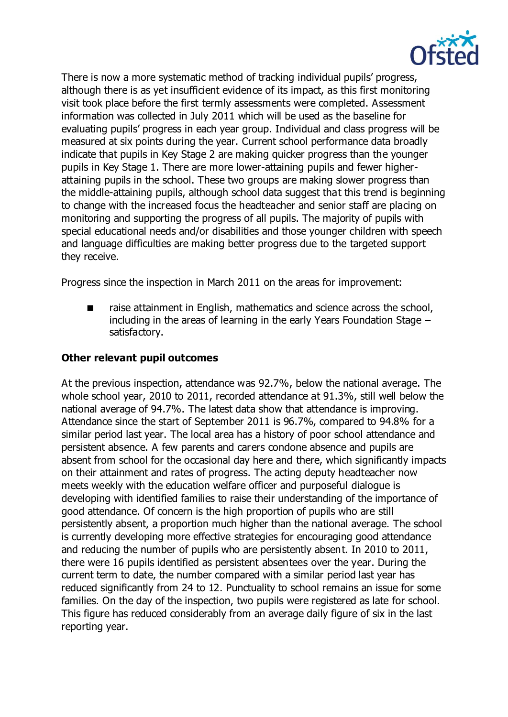

There is now a more systematic method of tracking individual pupils' progress, although there is as yet insufficient evidence of its impact, as this first monitoring visit took place before the first termly assessments were completed. Assessment information was collected in July 2011 which will be used as the baseline for evaluating pupils' progress in each year group. Individual and class progress will be measured at six points during the year. Current school performance data broadly indicate that pupils in Key Stage 2 are making quicker progress than the younger pupils in Key Stage 1. There are more lower-attaining pupils and fewer higherattaining pupils in the school. These two groups are making slower progress than the middle-attaining pupils, although school data suggest that this trend is beginning to change with the increased focus the headteacher and senior staff are placing on monitoring and supporting the progress of all pupils. The majority of pupils with special educational needs and/or disabilities and those younger children with speech and language difficulties are making better progress due to the targeted support they receive.

Progress since the inspection in March 2011 on the areas for improvement:

 raise attainment in English, mathematics and science across the school, including in the areas of learning in the early Years Foundation Stage – satisfactory.

# **Other relevant pupil outcomes**

At the previous inspection, attendance was 92.7%, below the national average. The whole school year, 2010 to 2011, recorded attendance at 91.3%, still well below the national average of 94.7%. The latest data show that attendance is improving. Attendance since the start of September 2011 is 96.7%, compared to 94.8% for a similar period last year. The local area has a history of poor school attendance and persistent absence. A few parents and carers condone absence and pupils are absent from school for the occasional day here and there, which significantly impacts on their attainment and rates of progress. The acting deputy headteacher now meets weekly with the education welfare officer and purposeful dialogue is developing with identified families to raise their understanding of the importance of good attendance. Of concern is the high proportion of pupils who are still persistently absent, a proportion much higher than the national average. The school is currently developing more effective strategies for encouraging good attendance and reducing the number of pupils who are persistently absent. In 2010 to 2011, there were 16 pupils identified as persistent absentees over the year. During the current term to date, the number compared with a similar period last year has reduced significantly from 24 to 12. Punctuality to school remains an issue for some families. On the day of the inspection, two pupils were registered as late for school. This figure has reduced considerably from an average daily figure of six in the last reporting year.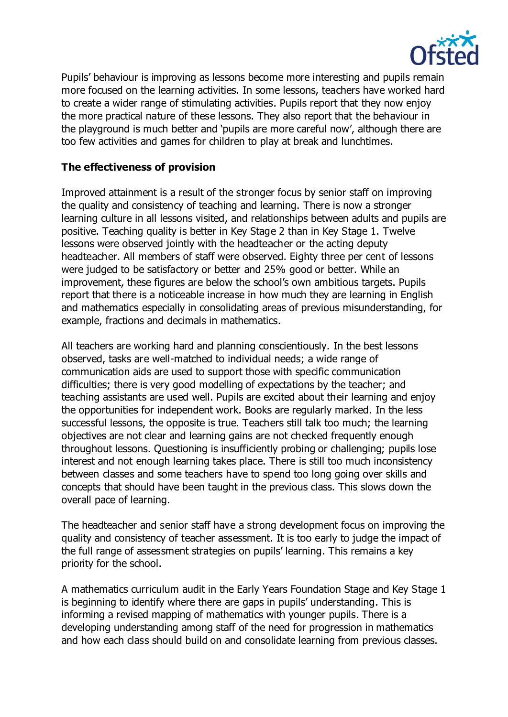

Pupils' behaviour is improving as lessons become more interesting and pupils remain more focused on the learning activities. In some lessons, teachers have worked hard to create a wider range of stimulating activities. Pupils report that they now enjoy the more practical nature of these lessons. They also report that the behaviour in the playground is much better and 'pupils are more careful now', although there are too few activities and games for children to play at break and lunchtimes.

#### **The effectiveness of provision**

Improved attainment is a result of the stronger focus by senior staff on improving the quality and consistency of teaching and learning. There is now a stronger learning culture in all lessons visited, and relationships between adults and pupils are positive. Teaching quality is better in Key Stage 2 than in Key Stage 1. Twelve lessons were observed jointly with the headteacher or the acting deputy headteacher. All members of staff were observed. Eighty three per cent of lessons were judged to be satisfactory or better and 25% good or better. While an improvement, these figures are below the school's own ambitious targets. Pupils report that there is a noticeable increase in how much they are learning in English and mathematics especially in consolidating areas of previous misunderstanding, for example, fractions and decimals in mathematics.

All teachers are working hard and planning conscientiously. In the best lessons observed, tasks are well-matched to individual needs; a wide range of communication aids are used to support those with specific communication difficulties; there is very good modelling of expectations by the teacher; and teaching assistants are used well. Pupils are excited about their learning and enjoy the opportunities for independent work. Books are regularly marked. In the less successful lessons, the opposite is true. Teachers still talk too much; the learning objectives are not clear and learning gains are not checked frequently enough throughout lessons. Questioning is insufficiently probing or challenging; pupils lose interest and not enough learning takes place. There is still too much inconsistency between classes and some teachers have to spend too long going over skills and concepts that should have been taught in the previous class. This slows down the overall pace of learning.

The headteacher and senior staff have a strong development focus on improving the quality and consistency of teacher assessment. It is too early to judge the impact of the full range of assessment strategies on pupils' learning. This remains a key priority for the school.

A mathematics curriculum audit in the Early Years Foundation Stage and Key Stage 1 is beginning to identify where there are gaps in pupils' understanding. This is informing a revised mapping of mathematics with younger pupils. There is a developing understanding among staff of the need for progression in mathematics and how each class should build on and consolidate learning from previous classes.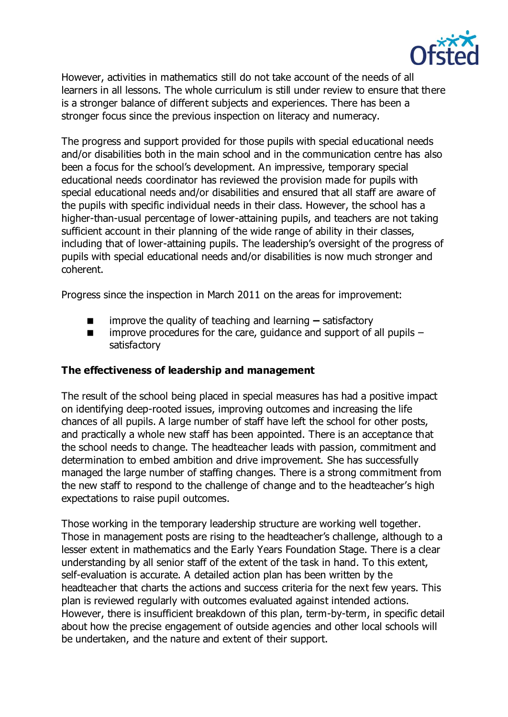

However, activities in mathematics still do not take account of the needs of all learners in all lessons. The whole curriculum is still under review to ensure that there is a stronger balance of different subjects and experiences. There has been a stronger focus since the previous inspection on literacy and numeracy.

The progress and support provided for those pupils with special educational needs and/or disabilities both in the main school and in the communication centre has also been a focus for the school's development. An impressive, temporary special educational needs coordinator has reviewed the provision made for pupils with special educational needs and/or disabilities and ensured that all staff are aware of the pupils with specific individual needs in their class. However, the school has a higher-than-usual percentage of lower-attaining pupils, and teachers are not taking sufficient account in their planning of the wide range of ability in their classes, including that of lower-attaining pupils. The leadership's oversight of the progress of pupils with special educational needs and/or disabilities is now much stronger and coherent.

Progress since the inspection in March 2011 on the areas for improvement:

- improve the quality of teaching and learning satisfactory
- $\blacksquare$  improve procedures for the care, guidance and support of all pupils  $\blacksquare$ satisfactory

## **The effectiveness of leadership and management**

The result of the school being placed in special measures has had a positive impact on identifying deep-rooted issues, improving outcomes and increasing the life chances of all pupils. A large number of staff have left the school for other posts, and practically a whole new staff has been appointed. There is an acceptance that the school needs to change. The headteacher leads with passion, commitment and determination to embed ambition and drive improvement. She has successfully managed the large number of staffing changes. There is a strong commitment from the new staff to respond to the challenge of change and to the headteacher's high expectations to raise pupil outcomes.

Those working in the temporary leadership structure are working well together. Those in management posts are rising to the headteacher's challenge, although to a lesser extent in mathematics and the Early Years Foundation Stage. There is a clear understanding by all senior staff of the extent of the task in hand. To this extent, self-evaluation is accurate. A detailed action plan has been written by the headteacher that charts the actions and success criteria for the next few years. This plan is reviewed regularly with outcomes evaluated against intended actions. However, there is insufficient breakdown of this plan, term-by-term, in specific detail about how the precise engagement of outside agencies and other local schools will be undertaken, and the nature and extent of their support.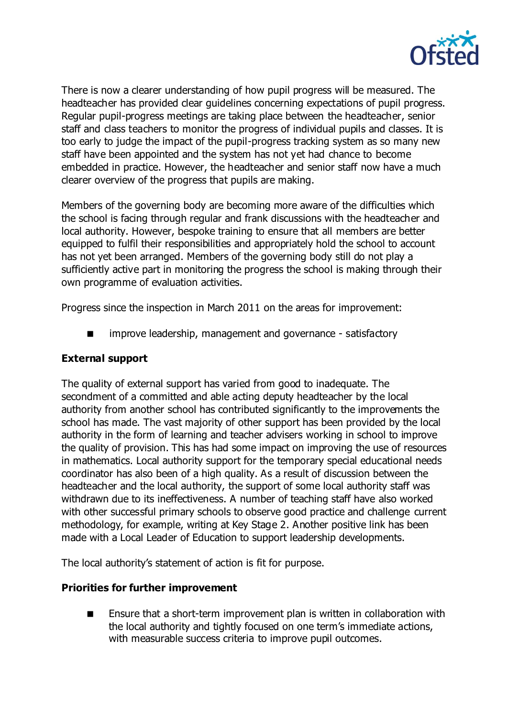

There is now a clearer understanding of how pupil progress will be measured. The headteacher has provided clear guidelines concerning expectations of pupil progress. Regular pupil-progress meetings are taking place between the headteacher, senior staff and class teachers to monitor the progress of individual pupils and classes. It is too early to judge the impact of the pupil-progress tracking system as so many new staff have been appointed and the system has not yet had chance to become embedded in practice. However, the headteacher and senior staff now have a much clearer overview of the progress that pupils are making.

Members of the governing body are becoming more aware of the difficulties which the school is facing through regular and frank discussions with the headteacher and local authority. However, bespoke training to ensure that all members are better equipped to fulfil their responsibilities and appropriately hold the school to account has not yet been arranged. Members of the governing body still do not play a sufficiently active part in monitoring the progress the school is making through their own programme of evaluation activities.

Progress since the inspection in March 2011 on the areas for improvement:

**Industance** improve leadership, management and governance - satisfactory

#### **External support**

The quality of external support has varied from good to inadequate. The secondment of a committed and able acting deputy headteacher by the local authority from another school has contributed significantly to the improvements the school has made. The vast majority of other support has been provided by the local authority in the form of learning and teacher advisers working in school to improve the quality of provision. This has had some impact on improving the use of resources in mathematics. Local authority support for the temporary special educational needs coordinator has also been of a high quality. As a result of discussion between the headteacher and the local authority, the support of some local authority staff was withdrawn due to its ineffectiveness. A number of teaching staff have also worked with other successful primary schools to observe good practice and challenge current methodology, for example, writing at Key Stage 2. Another positive link has been made with a Local Leader of Education to support leadership developments.

The local authority's statement of action is fit for purpose.

#### **Priorities for further improvement**

**Ensure that a short-term improvement plan is written in collaboration with** the local authority and tightly focused on one term's immediate actions, with measurable success criteria to improve pupil outcomes.